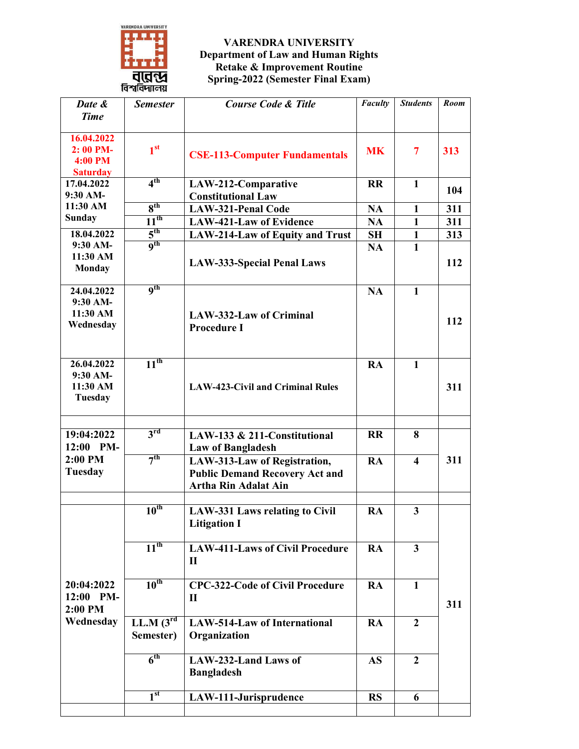

## **VARENDRA UNIVERSITY Department of Law and Human Rights Retake & Improvement Routine Spring-2022 (Semester Final Exam)**

| Date &                        | <b>Semester</b>   | <b>Course Code &amp; Title</b>          | <b>Faculty</b> | <b>Students</b>         | Room |
|-------------------------------|-------------------|-----------------------------------------|----------------|-------------------------|------|
| <b>Time</b>                   |                   |                                         |                |                         |      |
|                               |                   |                                         |                |                         |      |
| 16.04.2022                    |                   |                                         |                |                         |      |
| 2:00 PM-                      | 1 <sup>st</sup>   | <b>CSE-113-Computer Fundamentals</b>    | <b>MK</b>      | 7                       | 313  |
| <b>4:00 PM</b>                |                   |                                         |                |                         |      |
| <b>Saturday</b><br>17.04.2022 | 4 <sup>th</sup>   | LAW-212-Comparative                     | <b>RR</b>      | 1                       |      |
| 9:30 AM-                      |                   | <b>Constitutional Law</b>               |                |                         | 104  |
| 11:30 AM                      | 8 <sup>th</sup>   | <b>LAW-321-Penal Code</b>               | <b>NA</b>      | $\mathbf{1}$            | 311  |
| <b>Sunday</b>                 | $11^{th}$         | <b>LAW-421-Law of Evidence</b>          | <b>NA</b>      | $\mathbf{1}$            | 311  |
| 18.04.2022                    | 5 <sup>th</sup>   | <b>LAW-214-Law of Equity and Trust</b>  | <b>SH</b>      | $\mathbf{1}$            | 313  |
| 9:30 AM-                      | <b>gth</b>        |                                         | <b>NA</b>      | $\mathbf{1}$            |      |
| 11:30 AM                      |                   |                                         |                |                         |      |
| <b>Monday</b>                 |                   | <b>LAW-333-Special Penal Laws</b>       |                |                         | 112  |
|                               |                   |                                         |                |                         |      |
| 24.04.2022                    | <b>gth</b>        |                                         | <b>NA</b>      | $\mathbf{1}$            |      |
| $9:30$ AM-                    |                   |                                         |                |                         |      |
| 11:30 AM                      |                   | <b>LAW-332-Law of Criminal</b>          |                |                         | 112  |
| Wednesday                     |                   | <b>Procedure I</b>                      |                |                         |      |
|                               |                   |                                         |                |                         |      |
|                               |                   |                                         |                |                         |      |
| 26.04.2022                    | 11 <sup>th</sup>  |                                         | <b>RA</b>      | $\mathbf{1}$            |      |
| $9:30$ AM-                    |                   |                                         |                |                         |      |
| 11:30 AM                      |                   | <b>LAW-423-Civil and Criminal Rules</b> |                |                         | 311  |
| Tuesday                       |                   |                                         |                |                         |      |
|                               |                   |                                         |                |                         |      |
| 19:04:2022                    | $3^{\rm rd}$      | LAW-133 & 211-Constitutional            | <b>RR</b>      | 8                       |      |
| 12:00 PM-                     |                   |                                         |                |                         |      |
| 2:00 PM                       | 7 <sup>th</sup>   | <b>Law of Bangladesh</b>                |                |                         |      |
| Tuesday                       |                   | LAW-313-Law of Registration,            | <b>RA</b>      | $\overline{\mathbf{4}}$ | 311  |
|                               |                   | <b>Public Demand Recovery Act and</b>   |                |                         |      |
|                               |                   | <b>Artha Rin Adalat Ain</b>             |                |                         |      |
|                               | $10^{th}$         |                                         |                |                         |      |
|                               |                   | <b>LAW-331 Laws relating to Civil</b>   | <b>RA</b>      | 3                       |      |
|                               |                   | <b>Litigation I</b>                     |                |                         |      |
|                               | $11^{th}$         | <b>LAW-411-Laws of Civil Procedure</b>  | RA             | $\overline{\mathbf{3}}$ |      |
|                               |                   | $\mathbf{I}$                            |                |                         |      |
|                               |                   |                                         |                |                         |      |
| 20:04:2022                    | 10 <sup>th</sup>  | <b>CPC-322-Code of Civil Procedure</b>  | <b>RA</b>      | $\mathbf{1}$            |      |
| 12:00 PM-                     |                   | $\mathbf{I}$                            |                |                         |      |
| 2:00 PM                       |                   |                                         |                |                         | 311  |
| Wednesday                     | $LL.M$ $(3^{rd})$ | <b>LAW-514-Law of International</b>     | <b>RA</b>      | $\overline{2}$          |      |
|                               | Semester)         | Organization                            |                |                         |      |
|                               |                   |                                         |                |                         |      |
|                               | 6 <sup>th</sup>   | LAW-232-Land Laws of                    | <b>AS</b>      | $\overline{2}$          |      |
|                               |                   | <b>Bangladesh</b>                       |                |                         |      |
|                               |                   |                                         |                |                         |      |
|                               | 1 <sup>st</sup>   | LAW-111-Jurisprudence                   | <b>RS</b>      | 6                       |      |
|                               |                   |                                         |                |                         |      |
|                               |                   |                                         |                |                         |      |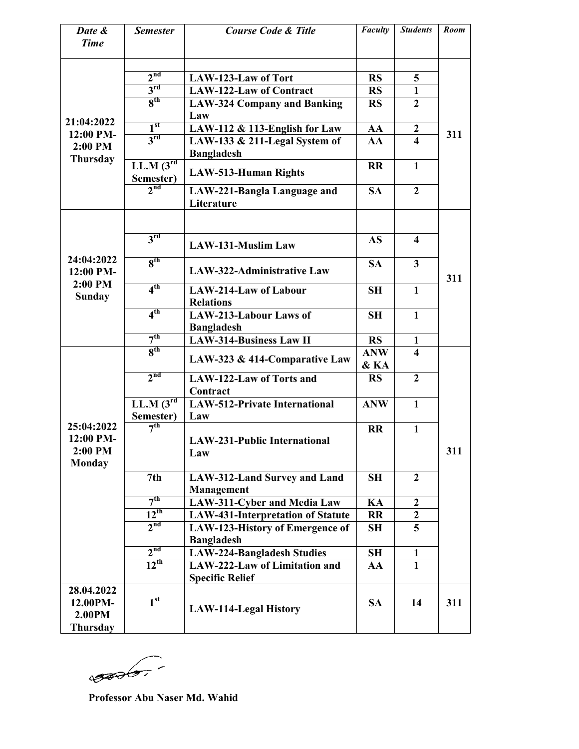| Date &<br><b>Time</b>                               | <b>Semester</b>                | <b>Course Code &amp; Title</b>                                     | Faculty            | <b>Students</b>         | <b>Room</b> |
|-----------------------------------------------------|--------------------------------|--------------------------------------------------------------------|--------------------|-------------------------|-------------|
|                                                     | 2 <sup>nd</sup>                |                                                                    |                    |                         |             |
|                                                     |                                | LAW-123-Law of Tort                                                | <b>RS</b>          | 5                       |             |
|                                                     | $3^{\text{rd}}$                | <b>LAW-122-Law of Contract</b>                                     | <b>RS</b>          | $\mathbf{1}$            |             |
|                                                     | 8 <sup>th</sup>                | <b>LAW-324 Company and Banking</b><br>Law                          | <b>RS</b>          | $\overline{2}$          |             |
| 21:04:2022                                          | 1 <sup>st</sup>                | LAW-112 & 113-English for Law                                      | AA                 | $\boldsymbol{2}$        |             |
| 12:00 PM-<br>2:00 PM<br><b>Thursday</b>             | 3 <sup>rd</sup>                | LAW-133 & 211-Legal System of<br><b>Bangladesh</b>                 | AA                 | $\overline{\mathbf{4}}$ | 311         |
|                                                     | $LL.M$ $(3^{rd})$<br>Semester) | <b>LAW-513-Human Rights</b>                                        | <b>RR</b>          | $\mathbf{1}$            |             |
|                                                     | 2 <sub>nd</sub>                | LAW-221-Bangla Language and<br>Literature                          | <b>SA</b>          | $\mathbf{2}$            |             |
|                                                     |                                |                                                                    |                    |                         |             |
|                                                     | 3 <sup>rd</sup>                | <b>LAW-131-Muslim Law</b>                                          | <b>AS</b>          | $\overline{\mathbf{4}}$ |             |
| 24:04:2022<br>12:00 PM-                             | 8 <sup>th</sup>                | LAW-322-Administrative Law                                         | <b>SA</b>          | $\overline{\mathbf{3}}$ | 311         |
| 2:00 PM<br><b>Sunday</b>                            | 4 <sup>th</sup>                | <b>LAW-214-Law of Labour</b><br><b>Relations</b>                   | <b>SH</b>          | $\mathbf{1}$            |             |
|                                                     | 4 <sup>th</sup>                | LAW-213-Labour Laws of<br><b>Bangladesh</b>                        | <b>SH</b>          | $\mathbf{1}$            |             |
|                                                     | 7 <sup>th</sup>                | <b>LAW-314-Business Law II</b>                                     | <b>RS</b>          | 1                       |             |
|                                                     | 8 <sup>th</sup>                | LAW-323 & 414-Comparative Law                                      | <b>ANW</b><br>& KA | $\overline{\mathbf{4}}$ |             |
|                                                     | 2 <sup>nd</sup>                | LAW-122-Law of Torts and<br>Contract                               | <b>RS</b>          | $\overline{2}$          |             |
|                                                     | $LL.M$ $(3^{rd}$<br>Semester)  | <b>LAW-512-Private International</b><br>Law                        | <b>ANW</b>         | $\mathbf{1}$            |             |
| 25:04:2022                                          | 7 <sup>th</sup>                |                                                                    | <b>RR</b>          | $\mathbf{1}$            |             |
| 12:00 PM-<br>2:00 PM<br><b>Monday</b>               |                                | <b>LAW-231-Public International</b><br>Law                         |                    |                         | 311         |
|                                                     | 7th                            | LAW-312-Land Survey and Land<br>Management                         | <b>SH</b>          | $\overline{2}$          |             |
|                                                     | 7 <sup>th</sup>                | LAW-311-Cyber and Media Law                                        | KA                 | $\overline{2}$          |             |
|                                                     | $\overline{12^{th}}$           | <b>LAW-431-Interpretation of Statute</b>                           | <b>RR</b>          | $\boldsymbol{2}$        |             |
|                                                     | 2 <sup>nd</sup>                |                                                                    |                    | 5                       |             |
|                                                     |                                | LAW-123-History of Emergence of<br><b>Bangladesh</b>               | <b>SH</b>          |                         |             |
|                                                     | 2 <sup>nd</sup>                |                                                                    |                    |                         |             |
|                                                     | $12^{th}$                      | <b>LAW-224-Bangladesh Studies</b><br>LAW-222-Law of Limitation and | <b>SH</b>          | 1<br>$\mathbf{1}$       |             |
|                                                     |                                | <b>Specific Relief</b>                                             | AA                 |                         |             |
| 28.04.2022<br>12.00PM-<br>2.00PM<br><b>Thursday</b> | 1 <sup>st</sup>                | <b>LAW-114-Legal History</b>                                       | <b>SA</b>          | 14                      | 311         |

 $\sqrt{300}-$ 

**Professor Abu Naser Md. Wahid**